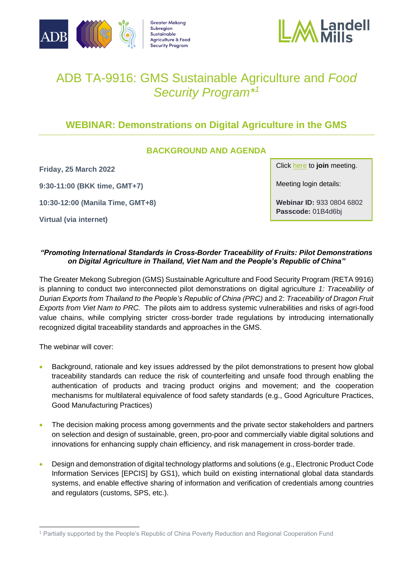





# ADB TA-9916: GMS Sustainable Agriculture and *Food Security Program\* 1*

## **WEBINAR: Demonstrations on Digital Agriculture in the GMS**

### **BACKGROUND AND AGENDA**

**Friday, 25 March 2022**

**9:30-11:00 (BKK time, GMT+7)**

**10:30-12:00 (Manila Time, GMT+8)**

**Virtual (via internet)**

Click [here](https://adb-org.zoom.us/j/93308046802) to **join** meeting.

Meeting login details:

**Webinar ID:** 933 0804 6802 **Passcode:** 01B4d6bj

#### *"Promoting International Standards in Cross-Border Traceability of Fruits: Pilot Demonstrations on Digital Agriculture in Thailand, Viet Nam and the People's Republic of China"*

The Greater Mekong Subregion (GMS) Sustainable Agriculture and Food Security Program (RETA 9916) is planning to conduct two interconnected pilot demonstrations on digital agriculture *1: Traceability of Durian Exports from Thailand to the People's Republic of China (PRC)* and 2: *Traceability of Dragon Fruit Exports from Viet Nam to PRC.* The pilots aim to address systemic vulnerabilities and risks of agri-food value chains, while complying stricter cross-border trade regulations by introducing internationally recognized digital traceability standards and approaches in the GMS.

The webinar will cover:

- Background, rationale and key issues addressed by the pilot demonstrations to present how global traceability standards can reduce the risk of counterfeiting and unsafe food through enabling the authentication of products and tracing product origins and movement; and the cooperation mechanisms for multilateral equivalence of food safety standards (e.g., Good Agriculture Practices, Good Manufacturing Practices)
- The decision making process among governments and the private sector stakeholders and partners on selection and design of sustainable, green, pro-poor and commercially viable digital solutions and innovations for enhancing supply chain efficiency, and risk management in cross-border trade.
- Design and demonstration of digital technology platforms and solutions (e.g., Electronic Product Code Information Services [EPCIS] by GS1), which build on existing international global data standards systems, and enable effective sharing of information and verification of credentials among countries and regulators (customs, SPS, etc.).

<sup>1</sup> Partially supported by the People's Republic of China Poverty Reduction and Regional Cooperation Fund